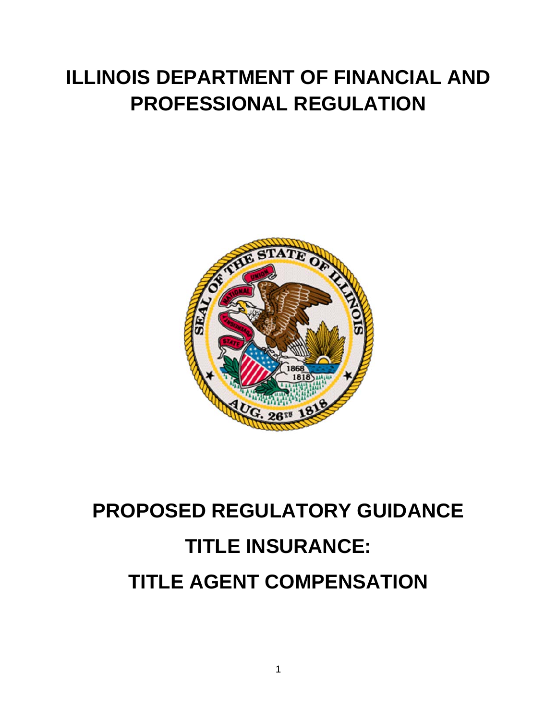# **ILLINOIS DEPARTMENT OF FINANCIAL AND PROFESSIONAL REGULATION**



# **PROPOSED REGULATORY GUIDANCE TITLE INSURANCE: TITLE AGENT COMPENSATION**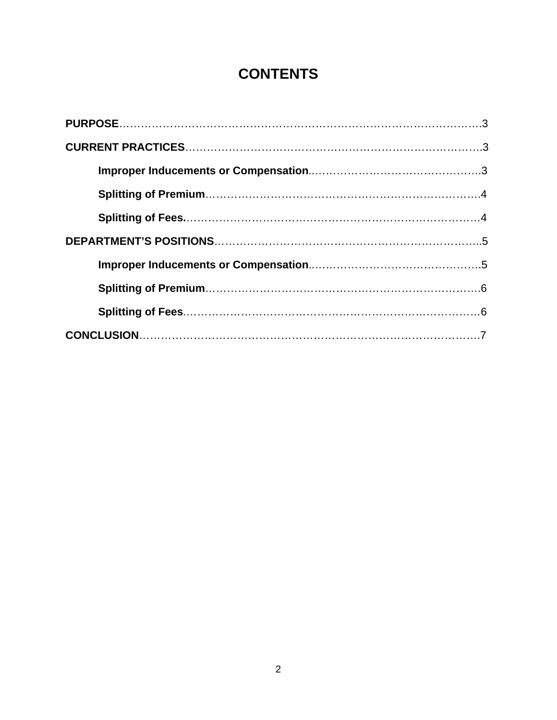# **CONTENTS**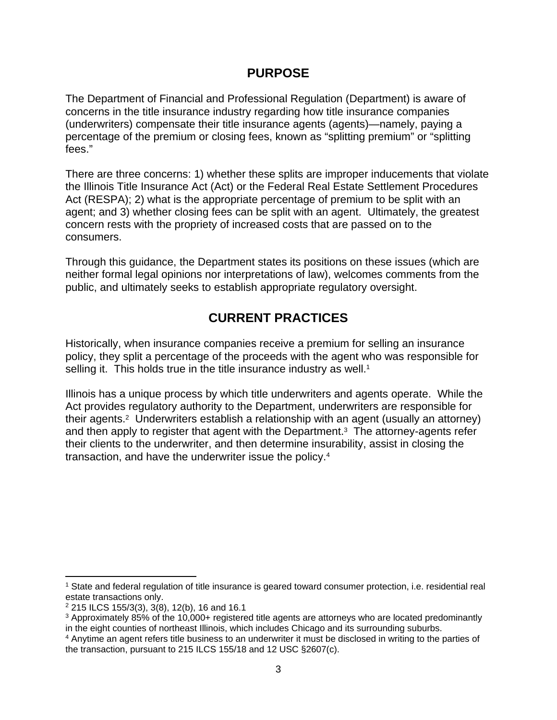#### **PURPOSE**

The Department of Financial and Professional Regulation (Department) is aware of concerns in the title insurance industry regarding how title insurance companies (underwriters) compensate their title insurance agents (agents)—namely, paying a percentage of the premium or closing fees, known as "splitting premium" or "splitting fees."

There are three concerns: 1) whether these splits are improper inducements that violate the Illinois Title Insurance Act (Act) or the Federal Real Estate Settlement Procedures Act (RESPA); 2) what is the appropriate percentage of premium to be split with an agent; and 3) whether closing fees can be split with an agent. Ultimately, the greatest concern rests with the propriety of increased costs that are passed on to the consumers.

Through this guidance, the Department states its positions on these issues (which are neither formal legal opinions nor interpretations of law), welcomes comments from the public, and ultimately seeks to establish appropriate regulatory oversight.

### **CURRENT PRACTICES**

Historically, when insurance companies receive a premium for selling an insurance policy, they split a percentage of the proceeds with the agent who was responsible for selling it. This holds true in the title insurance industry as well.<sup>1</sup>

Illinois has a unique process by which title underwriters and agents operate. While the Act provides regulatory authority to the Department, underwriters are responsible for their agents.2 Underwriters establish a relationship with an agent (usually an attorney) and then apply to register that agent with the Department.<sup>3</sup> The attorney-agents refer their clients to the underwriter, and then determine insurability, assist in closing the transaction, and have the underwriter issue the policy.4

<sup>1</sup> State and federal regulation of title insurance is geared toward consumer protection, i.e. residential real estate transactions only.

 $2$  215 ILCS 155/3(3), 3(8), 12(b), 16 and 16.1

<sup>&</sup>lt;sup>3</sup> Approximately 85% of the 10,000+ registered title agents are attorneys who are located predominantly in the eight counties of northeast Illinois, which includes Chicago and its surrounding suburbs.

<sup>4</sup> Anytime an agent refers title business to an underwriter it must be disclosed in writing to the parties of the transaction, pursuant to 215 ILCS 155/18 and 12 USC §2607(c).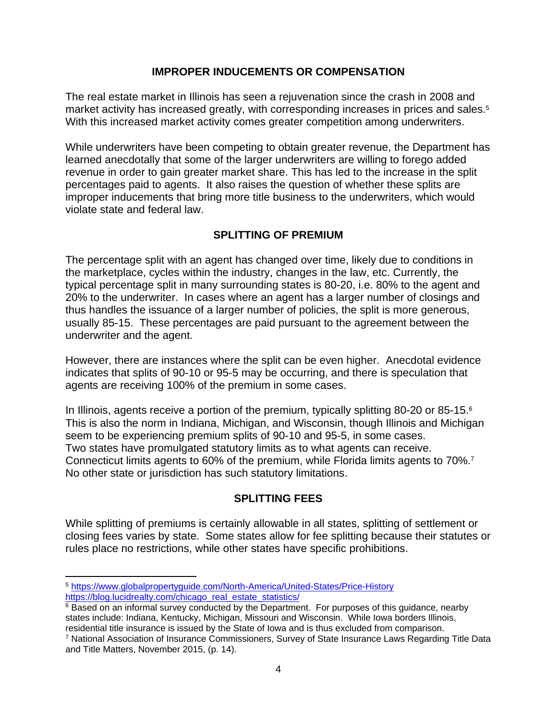#### **IMPROPER INDUCEMENTS OR COMPENSATION**

The real estate market in Illinois has seen a rejuvenation since the crash in 2008 and market activity has increased greatly, with corresponding increases in prices and sales.<sup>5</sup> With this increased market activity comes greater competition among underwriters.

While underwriters have been competing to obtain greater revenue, the Department has learned anecdotally that some of the larger underwriters are willing to forego added revenue in order to gain greater market share. This has led to the increase in the split percentages paid to agents. It also raises the question of whether these splits are improper inducements that bring more title business to the underwriters, which would violate state and federal law.

#### **SPLITTING OF PREMIUM**

The percentage split with an agent has changed over time, likely due to conditions in the marketplace, cycles within the industry, changes in the law, etc. Currently, the typical percentage split in many surrounding states is 80-20, i.e. 80% to the agent and 20% to the underwriter. In cases where an agent has a larger number of closings and thus handles the issuance of a larger number of policies, the split is more generous, usually 85-15. These percentages are paid pursuant to the agreement between the underwriter and the agent.

However, there are instances where the split can be even higher. Anecdotal evidence indicates that splits of 90-10 or 95-5 may be occurring, and there is speculation that agents are receiving 100% of the premium in some cases.

In Illinois, agents receive a portion of the premium, typically splitting 80-20 or 85-15.6 This is also the norm in Indiana, Michigan, and Wisconsin, though Illinois and Michigan seem to be experiencing premium splits of 90-10 and 95-5, in some cases. Two states have promulgated statutory limits as to what agents can receive. Connecticut limits agents to 60% of the premium, while Florida limits agents to 70%.7 No other state or jurisdiction has such statutory limitations.

#### **SPLITTING FEES**

While splitting of premiums is certainly allowable in all states, splitting of settlement or closing fees varies by state. Some states allow for fee splitting because their statutes or rules place no restrictions, while other states have specific prohibitions.

 <sup>5</sup> https://www.globalpropertyguide.com/North-America/United-States/Price-History https://blog.lucidrealty.com/chicago\_real\_estate\_statistics/

<sup>&</sup>lt;sup>6</sup> Based on an informal survey conducted by the Department. For purposes of this guidance, nearby states include: Indiana, Kentucky, Michigan, Missouri and Wisconsin. While Iowa borders Illinois, residential title insurance is issued by the State of Iowa and is thus excluded from comparison.

<sup>&</sup>lt;sup>7</sup> National Association of Insurance Commissioners, Survey of State Insurance Laws Regarding Title Data and Title Matters, November 2015, (p. 14).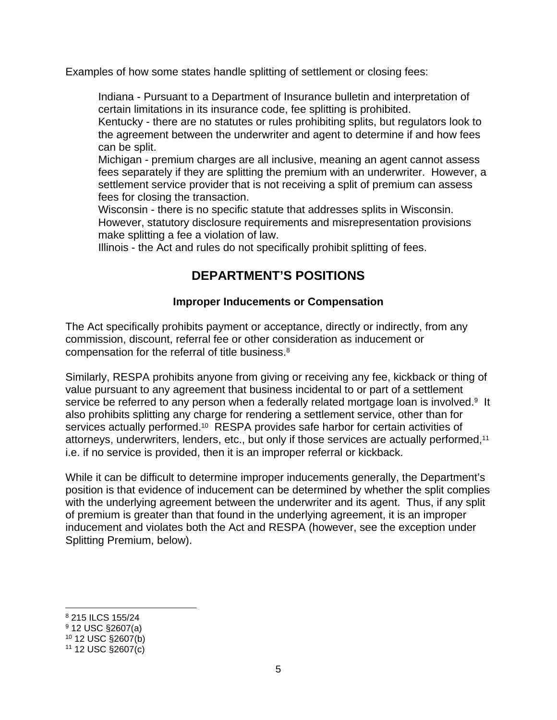Examples of how some states handle splitting of settlement or closing fees:

Indiana - Pursuant to a Department of Insurance bulletin and interpretation of certain limitations in its insurance code, fee splitting is prohibited.

Kentucky - there are no statutes or rules prohibiting splits, but regulators look to the agreement between the underwriter and agent to determine if and how fees can be split.

Michigan - premium charges are all inclusive, meaning an agent cannot assess fees separately if they are splitting the premium with an underwriter. However, a settlement service provider that is not receiving a split of premium can assess fees for closing the transaction.

Wisconsin - there is no specific statute that addresses splits in Wisconsin. However, statutory disclosure requirements and misrepresentation provisions make splitting a fee a violation of law.

Illinois - the Act and rules do not specifically prohibit splitting of fees.

## **DEPARTMENT'S POSITIONS**

#### **Improper Inducements or Compensation**

The Act specifically prohibits payment or acceptance, directly or indirectly, from any commission, discount, referral fee or other consideration as inducement or compensation for the referral of title business.8

Similarly, RESPA prohibits anyone from giving or receiving any fee, kickback or thing of value pursuant to any agreement that business incidental to or part of a settlement service be referred to any person when a federally related mortgage loan is involved.<sup>9</sup> It also prohibits splitting any charge for rendering a settlement service, other than for services actually performed.<sup>10</sup> RESPA provides safe harbor for certain activities of attorneys, underwriters, lenders, etc., but only if those services are actually performed,11 i.e. if no service is provided, then it is an improper referral or kickback.

While it can be difficult to determine improper inducements generally, the Department's position is that evidence of inducement can be determined by whether the split complies with the underlying agreement between the underwriter and its agent. Thus, if any split of premium is greater than that found in the underlying agreement, it is an improper inducement and violates both the Act and RESPA (however, see the exception under Splitting Premium, below).

<sup>8 215</sup> ILCS 155/24

<sup>9 12</sup> USC §2607(a)

<sup>10 12</sup> USC §2607(b)

 $11$  12 USC  $\S 2607(c)$